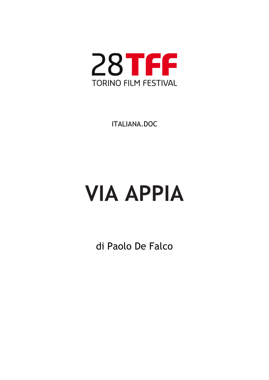

ITALIANA.DOC

# **VIA APPIA**

di Paolo De Falco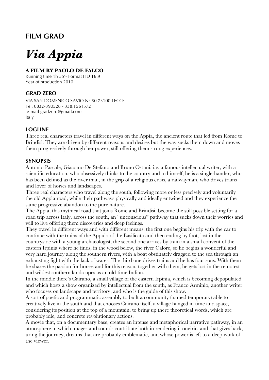### **FILM GRAD**

## *Via Appia*

#### **A FILM BY PAOLO DE FALCO**

Running time 1h 55'- Format HD 16:9 Year of production 2010

#### **GRAD ZERO**

VIA SAN DOMENICO SAVIO N° 50 73100 LECCE Tel. 0832-390528 - 338.1561572 e-mail gradzero@gmail.com Italy

#### **LOGLINE**

Three real characters travel in different ways on the Appia, the ancient route that led from Rome to Brindisi. They are driven by different reasons and desires but the way sucks them down and moves them progressively through her power, still offering them strong experiences.

#### **SYNOPSIS**

Antonio Pascale, Giacomo De Stefano and Bruno Ostuni, i.e. a famous intellectual writer, with a scientific education, who obsessively thinks to the country and to himself, he is a single-hander, who has been defined as the river man, in the grip of a religious crisis, a railwayman, who drives trains and lover of horses and landscapes.

Three real characters who travel along the south, following more or less precisely and voluntarily the old Appia road, while their pathways physically and ideally entwined and they experience the same progressive abandon to the pure nature.

The Appia, this mythical road that joins Rome and Brindisi, become the still possible setting for a road trip across Italy, across the south, an "unconscious" pathway that sucks down their worries and will to live offering them discoveries and deep feelings.

They travel in different ways and with different means: the first one begins his trip with the car to continue with the trains of the Appulo of the Basilicata and then ending by foot, lost in the countryside with a young archaeologist; the second one arrives by train in a small convent of the eastern Irpinia where he finds, in the wood below, the river Calore, so he begins a wonderful and very hard journey along the southern rivers, with a boat obstinately dragged to the sea through an exhausting fight with the lack of water. The third one drives trains and he has four sons. With them he shares the passion for horses and for this reason, together with them, he gets lost in the remotest and wildest southern landscapes as an old-time Indian.

In the middle there's Cairano, a small village of the eastern Irpinia, which is becoming depopulated and which hosts a show organized by intellectual from the south, as Franco Arminio, another writer who focuses on landscape and territory, and who is the guide of this show.

A sort of poetic and programmatic assembly to built a community (named temporary) able to creatively live in the south and that chooses Cairano itself, a village hanged in time and space, considering its position at the top of a mountain, to bring up there theoretical words, which are probably idle, and concrete revolutionary actions.

A movie that, on a documentary base, creates an intense and metaphorical narrative pathway, in an atmosphere in which images and sounds contribute both in rendering it oneiric; and that gives back, uring the journey, dreams that are probably emblematic, and whose power is left to a deep work of the viewer.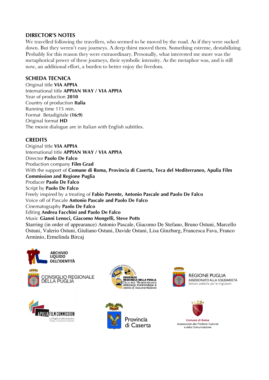#### **DIRECTOR'S NOTES**

We travelled following the travellers, who seemed to be moved by the road. As if they were sucked down. But they weren't easy journeys. A deep thirst moved them. Something estreme, destabilizing. Probably for this reason they were extraordinary. Personally, what interested me more was the metaphorical power of these journeys, their symbolic intensity. As the metaphor was, and is still now, an additional effort, a burden to better enjoy the freedom.

#### **SCHEDA TECNICA**

Original title **VIA APPIA** International title **APPIAN WAY / VIA APPIA** Year of production **2010** Country of production **Italia** Running time 115 min. Format Betadigitale **(16:9)** Original format **HD**  The movie dialogue are in Italian with English subtitles.

#### **CREDITS**

Original title **VIA APPIA** International title **APPIAN WAY / VIA APPIA** Director **Paolo De Falco** Production company **Film Grad**  With the support of **Comune di Roma, Provincia di Caserta, Teca del Mediterraneo, Apulia Film Commission and Regione Puglia**  Producer **Paolo De Falco** Script by **Paolo De Falco** Freely inspired by a treating of **Fabio Parente, Antonio Pascale and Paolo De Falco**  Voice off of Pascale **Antonio Pascale and Paolo De Falco** Cinematography **Paolo De Falco** Editing **Andrea Facchini and Paolo De Falco** Music **Gianni Lenoci, Giacomo Mongelli, Steve Potts** Starring (in order of appearance) Antonio Pascale, Giacomo De Stefano, Bruno Ostuni, Marcello Ostuni, Valerio Ostuni, Giuliano Ostuni, Davide Ostuni, Lisa Ginzburg, Francesca Fava, Franco Arminio, Ermelinda Bircaj











**REGIONE PUGLIA** ASSESSORATO ALLA SOLIDARIETÀ Settore politiche per le migrazioni



Comune di Roma Assessorato alle Politiche Culturali e della Comunicazione